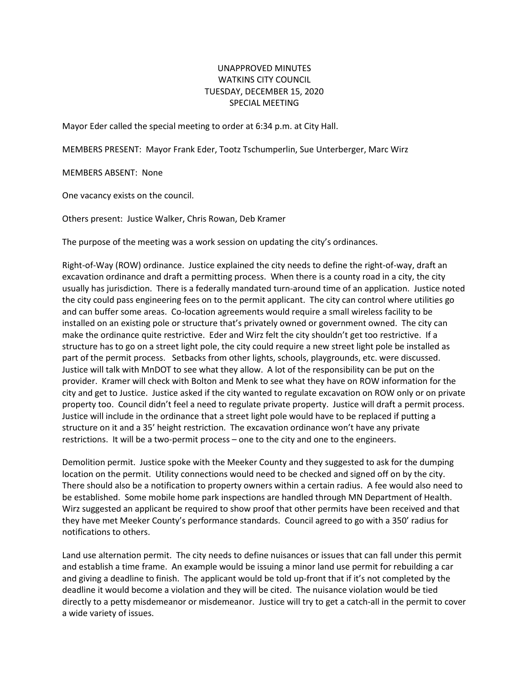## UNAPPROVED MINUTES WATKINS CITY COUNCIL TUESDAY, DECEMBER 15, 2020 SPECIAL MEETING

Mayor Eder called the special meeting to order at 6:34 p.m. at City Hall.

MEMBERS PRESENT: Mayor Frank Eder, Tootz Tschumperlin, Sue Unterberger, Marc Wirz

MEMBERS ABSENT: None

One vacancy exists on the council.

Others present: Justice Walker, Chris Rowan, Deb Kramer

The purpose of the meeting was a work session on updating the city's ordinances.

Right-of-Way (ROW) ordinance. Justice explained the city needs to define the right-of-way, draft an excavation ordinance and draft a permitting process. When there is a county road in a city, the city usually has jurisdiction. There is a federally mandated turn-around time of an application. Justice noted the city could pass engineering fees on to the permit applicant. The city can control where utilities go and can buffer some areas. Co-location agreements would require a small wireless facility to be installed on an existing pole or structure that's privately owned or government owned. The city can make the ordinance quite restrictive. Eder and Wirz felt the city shouldn't get too restrictive. If a structure has to go on a street light pole, the city could require a new street light pole be installed as part of the permit process. Setbacks from other lights, schools, playgrounds, etc. were discussed. Justice will talk with MnDOT to see what they allow. A lot of the responsibility can be put on the provider. Kramer will check with Bolton and Menk to see what they have on ROW information for the city and get to Justice. Justice asked if the city wanted to regulate excavation on ROW only or on private property too. Council didn't feel a need to regulate private property. Justice will draft a permit process. Justice will include in the ordinance that a street light pole would have to be replaced if putting a structure on it and a 35' height restriction. The excavation ordinance won't have any private restrictions. It will be a two-permit process – one to the city and one to the engineers.

Demolition permit. Justice spoke with the Meeker County and they suggested to ask for the dumping location on the permit. Utility connections would need to be checked and signed off on by the city. There should also be a notification to property owners within a certain radius. A fee would also need to be established. Some mobile home park inspections are handled through MN Department of Health. Wirz suggested an applicant be required to show proof that other permits have been received and that they have met Meeker County's performance standards. Council agreed to go with a 350' radius for notifications to others.

Land use alternation permit. The city needs to define nuisances or issues that can fall under this permit and establish a time frame. An example would be issuing a minor land use permit for rebuilding a car and giving a deadline to finish. The applicant would be told up-front that if it's not completed by the deadline it would become a violation and they will be cited. The nuisance violation would be tied directly to a petty misdemeanor or misdemeanor. Justice will try to get a catch-all in the permit to cover a wide variety of issues.